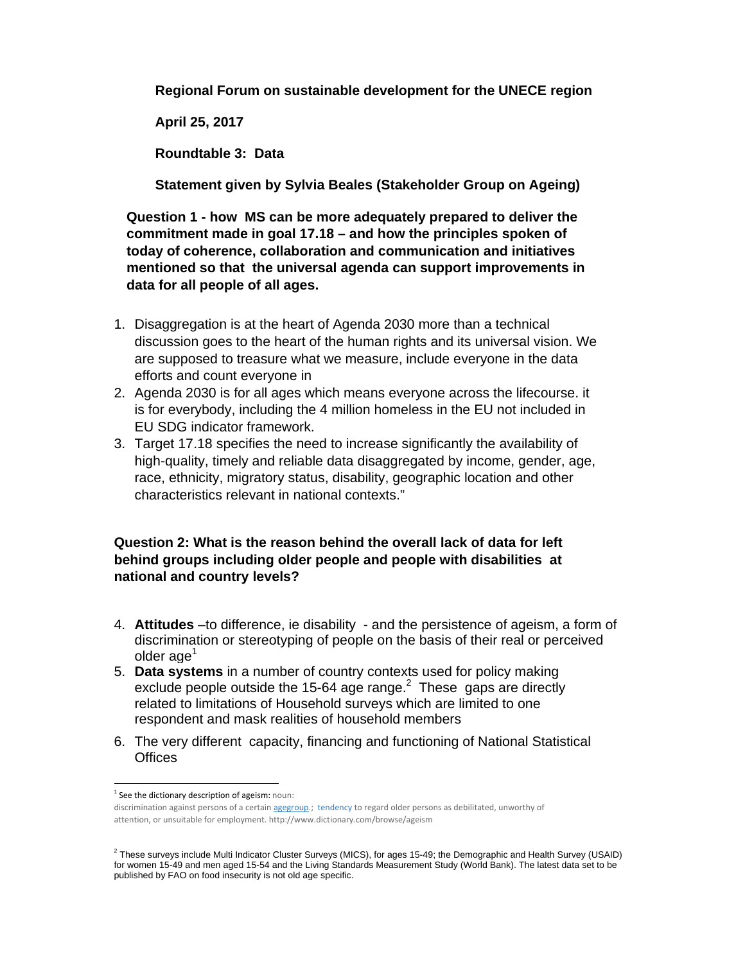**Regional Forum on sustainable development for the UNECE region** 

**April 25, 2017** 

**Roundtable 3: Data** 

**Statement given by Sylvia Beales (Stakeholder Group on Ageing)** 

**Question 1 - how MS can be more adequately prepared to deliver the commitment made in goal 17.18 – and how the principles spoken of today of coherence, collaboration and communication and initiatives mentioned so that the universal agenda can support improvements in data for all people of all ages.** 

- 1. Disaggregation is at the heart of Agenda 2030 more than a technical discussion goes to the heart of the human rights and its universal vision. We are supposed to treasure what we measure, include everyone in the data efforts and count everyone in
- 2. Agenda 2030 is for all ages which means everyone across the lifecourse. it is for everybody, including the 4 million homeless in the EU not included in EU SDG indicator framework.
- 3. Target 17.18 specifies the need to increase significantly the availability of high-quality, timely and reliable data disaggregated by income, gender, age, race, ethnicity, migratory status, disability, geographic location and other characteristics relevant in national contexts."

## **Question 2: What is the reason behind the overall lack of data for left behind groups including older people and people with disabilities at national and country levels?**

- 4. **Attitudes** –to difference, ie disability and the persistence of ageism, a form of discrimination or stereotyping of people on the basis of their real or perceived older age<sup>1</sup>
- 5. **Data systems** in a number of country contexts used for policy making exclude people outside the 15-64 age range. $2$  These gaps are directly related to limitations of Household surveys which are limited to one respondent and mask realities of household members
- 6. The very different capacity, financing and functioning of National Statistical **Offices**

  $1$  See the dictionary description of ageism: noun:

discrimination against persons of a certain agegroup.; tendency to regard older persons as debilitated, unworthy of attention, or unsuitable for employment. http://www.dictionary.com/browse/ageism

 $^2$  These surveys include Multi Indicator Cluster Surveys (MICS), for ages 15-49; the Demographic and Health Survey (USAID) for women 15-49 and men aged 15-54 and the Living Standards Measurement Study (World Bank). The latest data set to be published by FAO on food insecurity is not old age specific.